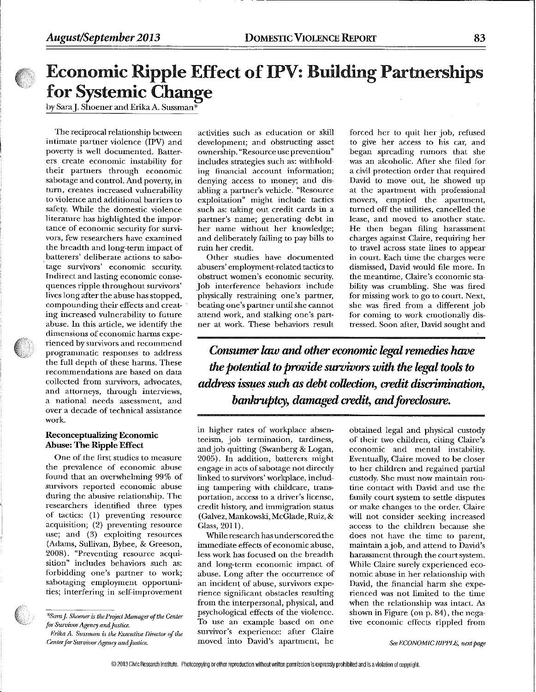# Economic Ripple Effect of IPV: Building Partnerships for Systemic Change

by SaraJ. Shoener and Erika A. Sussman\*

The reciprocal relationship between intimate partner violence (IPV) and poverty is well documented. Batterers create economic instability for their partners through economic sabotage and control. And poverty, in turn, creates increased vulnerability to violence and additional barriers to safety. While the domestic violence literature has highlighted the importance of economic security for survivors, few researchers have examined the breadth and long-term impact of batterers' deliberate actions to sabotage survivors' economic security. Indirect and lasting economic consequences ripple Ihroughout survivors' lives long after the abuse has stopped, compounding their effects and creating increased vulnerability to future abuse. In this article, we identify the dimensions of economic harms experienced by survivors and recommend programinatic responses to address the full depth of these harms. These recommendations are based on data collected from survivors, advocates, and attorneys, through interviews, a national needs assessment, and over a decade of technical assistance work.

### Reconceptualizing Economic Abuse: The Ripple Effect

One of the first studies to measure the prevalence of economic abuse found that an overwhelming 99% of survivors reported economic abuse during the abusive relationship. The researchers identified three types of tactics: (1) preventing resource acquisition; (2) preventing resource use; and (3) exploiting resources (Adams, Sullivan, Bybee, & Greeson, 2008). "Preventing resource acquisition" includes behaviors such as: torbidding one's partner to work; sabotaging employment opportunities; interfering in self-improvement

Erika A. Sussman is the Executive Director of the Center for Survivor Agency and Justice.

activities such as education or skill development; and obstructing asset ownership. "Resource use prevention" includes strategies such as: withbolding financial account information; denying access to money; and disabling a partner's vehicle. "Resource exploitation" might include tactics such as: taking out credit cards in a partner's name; generating debt in her name without her knowledge; and deliberately failing to pay bills to ruin her credit.

Other studies have documented abusers' employment-related tactics to obstruct women's economic security. Job interference behaviors include physically restraining one's partner, beating one's parmer until she cannot attend work, and stalking one's partner at work. These behaviors result forced her to quit her job, refused to give her access to his ear, and began spreading rumors that she was an alcoholic. After she filed for a civil protection order that required David to move out, he showed up at the apartment with professional movers, emptied the apartment, turned off the utilities, cancelled the lease, and moved to another state. He then began filing harassment charges against Claire, requiring her to travel across state lines to appear in court. Each time the charges were dismissed, David would file more. In the meantime, Claire's economic stability was crumbling. She was fired for missing work to go to court. Next, she was fired from a different job for coming to work emotionally distressed. Soon after, David sought and

Consumer law and other economic legal remedies have the potential to provide survivors with the legal tools to address issues such as debt collection, credit discrimination, bankruptcy, damaged credit, and foreclosure.

in higher rates of workplace absenteeism, job termination, tardiness, and job quitting (Swanberg & Logan, 2005). In addition, batterers might engage in acts of sabotage not directly linked to survivors' workplace, including tampering with ehildcare, transportation, access to a driver's license, credit history, and immigration status (Galvez, Mankowski, McGlade, Ruiz, & Glass, 2011).

While research has underscored the immediate effects of economic abuse, less work has focused on the breadth and long-term economic impact of abuse. Long after the occurrence of an incident of abuse, survivors experience significant obstacles resulting from the interpersonal, physical, and psychological effects of the violence. To use an example based on one survivor's experience: after Claire moved into David's apartment, he

obtained legal and physical custody of their two children, citing Claire's economic and mental instability. Eventually, Claire moved to be closer to her children and regained partial custody. She must now maintain routine contact with David and use the family court system to settle disputes or make changes to the order. Claire will not consider seeking increased access to the children because she does not have the time to parent, maintain a job, and attend to David's harassment through the court system. While Claire surely experienced economic abuse in her relationship with David, the financial harm she experienced was not limited to the time when the relationship was intact. As shovm in Figure (on p. 84), the negative economic effects rippled from

See ECONOMIC RIPPLE, next page

<sup>\*</sup>Sara J. Shoener is the Project Manager of the Center for Survivor Agency and Justice.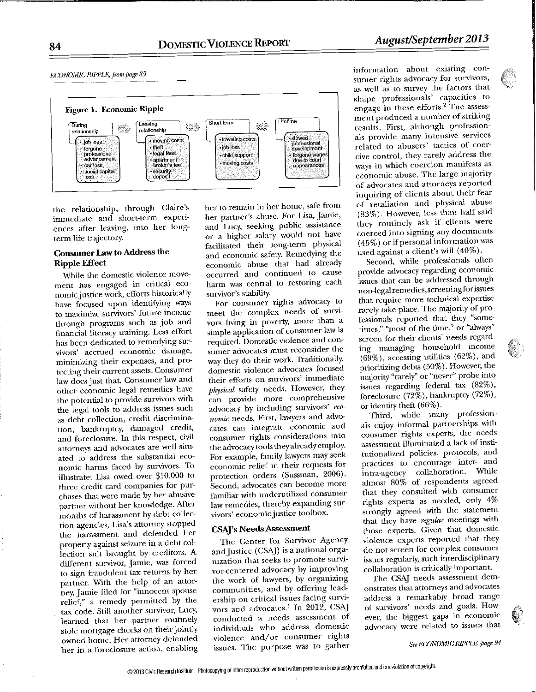

the relationship, through Claire's immediate and short-term experiences after leaving, into her longterm life trajectory.

## **Consumer Law to Address the Ripple Effect**

While the domestic violence movement has engaged in critical economic justice work, efforts historically have focused upon identifying ways to maximize survivors' future income through programs such as job and financial literacy training. Less effort has been dedicated to remedying survivors' accrued economic damage, minimizing their expenses, and protecting their current assets. Consumer law does just that. Consumer law and other economic legal remedies have the potential to provide survivors with the legal tools to address issues such as debt collection, credit discrimination, bankruptcy, damaged credit, and foreclosure. In this respect, civil attorneys and advocates are well situated to address the substantial economic harms faced by survivors. To illustrate: Lisa owed over \$10,000 to three credit card companies for purchases that were made by her abusive partner without her knowledge. After months of harassment by debt collection agencies, Lisa's attorney stopped the harassment and defended her property against seizure in a debt collection suit brought by creditors. A different survivor, Jamie, was forced to sign fraudulent tax returns by her partner. With the help of an attorney, Jamie filed for "innocent spouse relief," a remedy permitted by the tax code. Still another survivor, Lucy, learned that her partner routinely stole mortgage checks on their jointly owned home. Her attorney defended her in a foreclosure action, enabling her to remain in her home, safe from her partner's abuse. For Lisa, Jamie, and Lucy, seeking public assistance or a higher salary would not have facilitated their long-term physical and economic safety. Remedying the economic abuse that had already occurred and continued to cause harm was central to restoring each survivor's stability.

For consumer rights advocacy to meet the complex needs of survivors living in poverty, more than a simple application of consumer law is required. Domestic violence and consumer advocates must reconsider the way they do their work. Traditionally, domestic violence advocates focused their efforts on survivors' immediate physical safety needs. However, they can provide more comprehensive advocacy by including survivors' economic needs. First, lawyers and advocates can integrate economic and consumer rights considerations into the advocacy tools they already employ. For example, family lawyers may seek economic relief in their requests for protection orders (Sussman, 2006). Second, advocates can become more familiar with underutilized consumer law remedies, thereby expanding survivors' economic justice toolbox.

## **CSAJ's Needs Assessment**

The Center for Survivor Agency and Justice (CSAJ) is a national organization that seeks to promote survivor-centered advocacy by improving the work of lawyers, by organizing communities, and by offering leadership on critical issues facing survivors and advocates.<sup>1</sup> In 2012, CSAI conducted a needs assessment of individuals who address domestic violence and/or consumer rights issues. The purpose was to gather

information about existing consumer rights advocacy for survivors, as well as to survey the factors that shape professionals' capacities to engage in these efforts.<sup>2</sup> The assessment produced a number of striking results. First, although professionals provide many intensive services related to abusers' tactics of coercive control, they rarely address the ways in which coercion manifests as economic abuse. The large majority of advocates and attorneys reported inquiring of clients about their fear of retaliation and physical abuse (83%). However, less than half said they routinely ask if clients were coerced into signing any documents (45%) or if personal information was used against a client's will (40%).

Second, while professionals often provide advocacy regarding economic issues that can be addressed through non-legal remedics, screening for issues that require more technical expertise rarely take place. The majority of professionals reported that they "sometimes," "most of the time," or "always" screen for their clients' needs regarding managing household income  $(69\%)$ , accessing utilities  $(62\%)$ , and prioritizing debts (50%). However, the majority "rarely" or "never" probe into issues regarding federal tax  $(82\%)$ , foreclosure (72%), bankruptcy (72%), or identity theft (66%).

Third, while many professionals enjoy informal partnerships with consumer rights experts, the needs assessment illuminated a lack of institutionalized policies, protocols, and practices to encourage inter- and intra-agency collaboration. While almost 80% of respondents agreed that they consulted with consumer rights experts as needed, only 4% strongly agreed with the statement that they have regular meetings with those experts. Given that domestic violence experts reported that they do not screen for complex consumer issues regularly, such interdisciplinary collaboration is critically important.

The CSAJ needs assessment demonstrates that attorneys and advocates address a remarkably broad range of survivors' needs and goals. However, the biggest gaps in economic advocacy were related to issues that

See ECONOMIC RIPPLE, page 94

84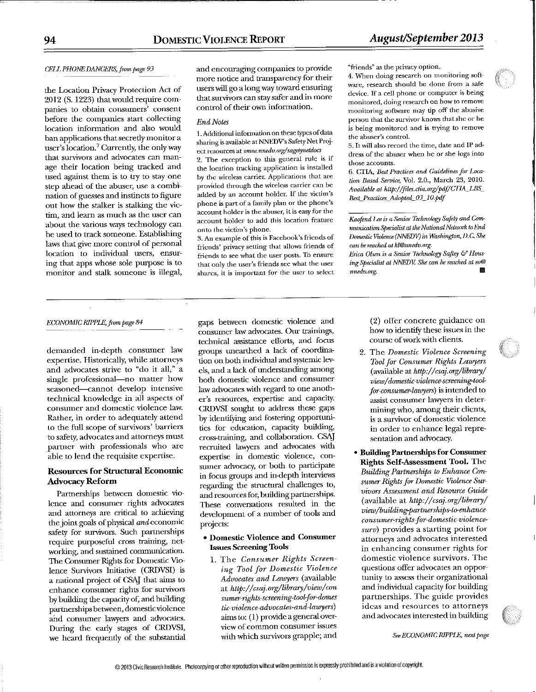#### CELL PHONE DANGERS, from page 93

the Location Privacy Protection Act of 2012 (S. 1223) that would require cornpanics to obtain consumers' consent before tbe companies start collecting location information and also would ban applications that secretly monitor a user's location.7 Currently, the onlyway that survivors and advocates can manage their location being tracked and used against them is to try to stay one step ahead of the abuser, use a combination of guesses and instincts to figure out how the stalker is stalking the victim, and learn as much as the user can about the various ways technology can be used to track someone. Establishing laws that give more contrd of personal location to individual users, ensuring that apps whose sole purpose is to monitor and stalk someone is illegal, and encouraging companies to provide more notice and transparency for their users will go a long way toward ensuring that survivors can stay safer and in more control of their own information.

#### End Notes

1. Additional information on these types of data sharing is available at NNEDV's Safety Net Project resources at www.nnedv.org/sagetynetdocs

2. The exception to this general rule is if the location tracking application is installed by the wireless carrier. Applications that are provided through the wireless carrier can be added by an account holder, ff the victim's phone is part of a family plan or the phone's account holder is the abuser, it is easy for the account bolder to add this location feature onto the victim's phone.

3. An example of this is Facebook's friends of friends' privacy setting that allows friends of friends to see what the user posts. To ensure that only the user's friends see what the user shares, it is important for the user to select "friends" as the privacy option.

4. When doing research on monitoring software, research should be done from a safe device, ff a cell phone or computer is being monitored, doing research on how to remove monitoring software may tip off the abusive person that the survivor knows that she or he is being monitored and is trying to remove the abuser's control.

5. It will also record the time, date and IP address of the abuser when he or she logs into those accounts.

6. CTIA, Best Practices and Guidelines for Location Based Service, Vol. 2.0., March 23, 2010. Available at http://files.clia.org/pdf/CTIA\_LBS\_ Best\_Practices\_Adopted\_03\_10.pdf

Kaofend Lee is a Senior Technology Safety and Communication Specialist at the National Network to End Domestic Violence (NNEDV) in Washington, D.C. She can be reached at kl@nnedv.org.

Erica Olsen is a Senior Technology Saftey & Housing Specialist at NNEDV. She can be reached at co@ nngdv.org. []

#### ECONOMIC RIPPLE, from page 84

demanded in-depth consumer law expertise. Historically, while attorneys and advocates strive to "do it all," a single professional-no matter how seasoned-cannot develop intensive technical knowledge in all aspects of consumer and domestic violence law. Rather, in order to adequately attend to the full scope of survivors' barriers to safety, advocates and attorneys must partner with professionals who are able to lend the requisite expertise.

### Resources for Structural Economic Advocacy Reform

Partnerships between domestic violence and consumer rights advocates and attorneys are critical to achieving the joint goals of physical and economic safety for survivors. Such partnerships require purposeful cross training, networking, and sustained communication. The Consumer Rights for Domestic Violence Survivors Initiative (CRDVSI) is a national project of CSAJ that aims to enhance consumer rights for survivors by building the capacity of, and ballding partnerships between, domestic violence and consumer lawyers and advocates. During the early stages of CRDVSI, we heard frequently of the substantial gaps between domestic violence and consumer law advocates. Our trainings, technical assistance efforts, and focus groups unearthed a lack of coordination on both individual and systemic levels, and a lack of understanding among both domestic violence and consmner law advocates with regard to one another's resources, expertise and capacity. CRDVSI sought to address these gaps by identifying and fostering opportunities for education, capacity building, cross-training, and collaboration. CSAJ recruited lawyers and advocates with expertise in domestic violence, consumer advocacy, or both to participate in focus groups and in-depth interviews regarding the structural challenges to, and resources for, building partnerships. These conversations resulted in the development of a number of tools and projects:

#### \* Domestic Violence and Consumer Issues Screening Tools

1. The Consumer Rights Screen ing Tool for Domestic Violence Advocates and Lawyers (available at http://csaj.org/library/view/con sumer-rights-screening-tool-for-domes tic-violence advocates-and-lawyers) aims to: (1) provide a general overview of common consumer issues with which survivors grapple; and

(2) offer concrete guidance on how to identify these issues in the course of work wifll cfients.

t(

- 2. The Domestic Violence Screening 7bol for Consumer Rights Lawyers (available at http://csaj.org/library/ view/domestic violence-screening-toolfor consumer-lawyers) is intended to assist consumer lawyers in determining who, among their clients, is a survivor of domestic violence in order to enhance legal representation and advocacy.
- Building Partnerships for Consumer Rights Self-Assessment Tool. The Building Partnerships to Enhance Consumer Rights for Domestic Violence Survivors Assessment and Resowrce Guide (available at http://csaj.org/library/ view/building-partnerships-to-enhanceconsumer-rights fox-domestic violencesurv) provides a starting point for attorneys and advocates interested in enhancing consumer rights tor domestic violence survivors. The questions offer advocates an opportunity to assess their organizational and individual capacity for building partnerships. The guide provides ideas and resources to attorneys and advocates interested in building

See ECONOMIC RIPPLE, next page